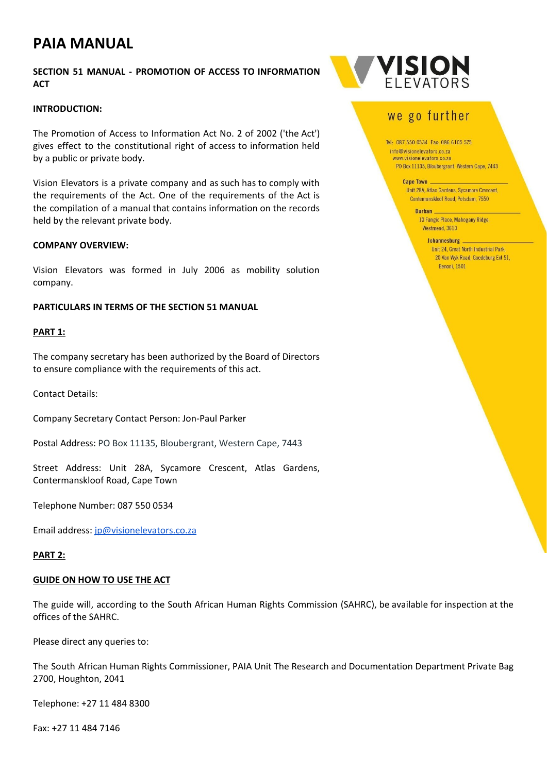# **PAIA MANUAL**

## **SECTION 51 MANUAL - PROMOTION OF ACCESS TO INFORMATION ACT**

#### **INTRODUCTION:**

The Promotion of Access to Information Act No. 2 of 2002 ('the Act') gives effect to the constitutional right of access to information held by a public or private body.

Vision Elevators is a private company and as such has to comply with the requirements of the Act. One of the requirements of the Act is the compilation of a manual that contains information on the records held by the relevant private body.

#### **COMPANY OVERVIEW:**

Vision Elevators was formed in July 2006 as mobility solution company.

#### **PARTICULARS IN TERMS OF THE SECTION 51 MANUAL**

#### **PART 1:**

The company secretary has been authorized by the Board of Directors to ensure compliance with the requirements of this act.

Contact Details:

Company Secretary Contact Person: Jon-Paul Parker

Postal Address: PO Box 11135, Bloubergrant, Western Cape, 7443

Street Address: Unit 28A, Sycamore Crescent, Atlas Gardens, Contermanskloof Road, Cape Town

Telephone Number: 087 550 0534

Email address: [jp@visionelevators.co.za](mailto:jp@visionelevators.co.za)

#### **PART 2:**

#### **GUIDE ON HOW TO USE THE ACT**

The guide will, according to the South African Human Rights Commission (SAHRC), be available for inspection at the offices of the SAHRC.

Please direct any queries to:

The South African Human Rights Commissioner, PAIA Unit The Research and Documentation Department Private Bag 2700, Houghton, 2041

Telephone: +27 11 484 8300

Fax: +27 11 484 7146



# we go further

Tel: 087 550 0534 Fax: 086 6105 575 info@visionelevators.co.za www.visionelevators.co.za PO Box 11135, Bloubergrant, Western Cape, 7443

**Cape Town** 

Unit 28A, Atlas Gardens, Sycamore Crescent, Contemanskloof Road, Potsdam, 7550

Durban 10 Fangio Place, Mahogany Ridge, Westmead, 3610

#### **Johannesburg** Unit 24, Great North Industrial Park, 20 Van Wyk Road, Goedeburg Ext 51, Benoni, 1501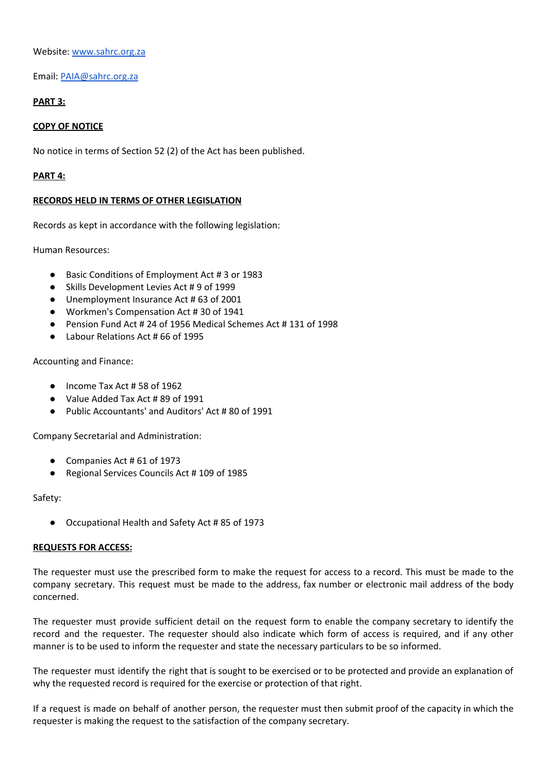Website: [www.sahrc.org.za](http://www.sahrc.org.za/)

Email: [PAIA@sahrc.org.za](mailto:PAIA@sahrc.org.za)

# **PART 3:**

### **COPY OF NOTICE**

No notice in terms of Section 52 (2) of the Act has been published.

#### **PART 4:**

#### **RECORDS HELD IN TERMS OF OTHER LEGISLATION**

Records as kept in accordance with the following legislation:

Human Resources:

- Basic Conditions of Employment Act # 3 or 1983
- Skills Development Levies Act # 9 of 1999
- Unemployment Insurance Act # 63 of 2001
- Workmen's Compensation Act # 30 of 1941
- Pension Fund Act # 24 of 1956 Medical Schemes Act # 131 of 1998
- Labour Relations Act # 66 of 1995

Accounting and Finance:

- Income Tax Act # 58 of 1962
- Value Added Tax Act #89 of 1991
- Public Accountants' and Auditors' Act # 80 of 1991

Company Secretarial and Administration:

- Companies Act # 61 of 1973
- Regional Services Councils Act # 109 of 1985

Safety:

● Occupational Health and Safety Act # 85 of 1973

#### **REQUESTS FOR ACCESS:**

The requester must use the prescribed form to make the request for access to a record. This must be made to the company secretary. This request must be made to the address, fax number or electronic mail address of the body concerned.

The requester must provide sufficient detail on the request form to enable the company secretary to identify the record and the requester. The requester should also indicate which form of access is required, and if any other manner is to be used to inform the requester and state the necessary particulars to be so informed.

The requester must identify the right that is sought to be exercised or to be protected and provide an explanation of why the requested record is required for the exercise or protection of that right.

If a request is made on behalf of another person, the requester must then submit proof of the capacity in which the requester is making the request to the satisfaction of the company secretary.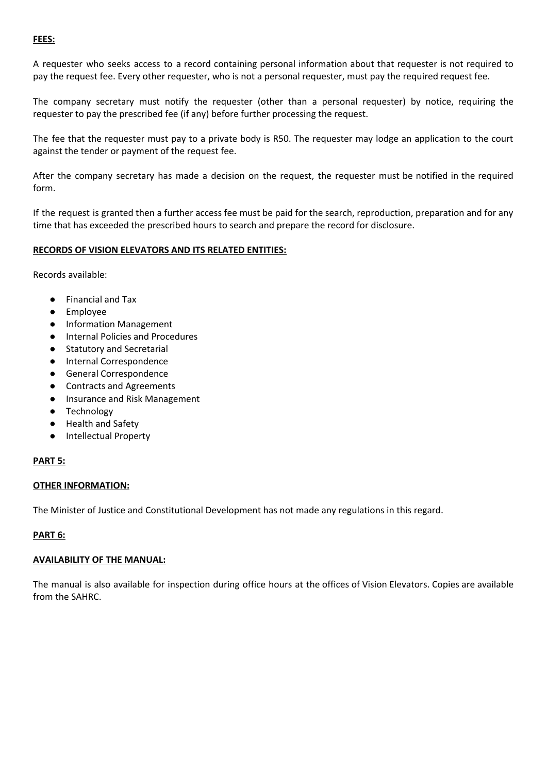#### **FEES:**

A requester who seeks access to a record containing personal information about that requester is not required to pay the request fee. Every other requester, who is not a personal requester, must pay the required request fee.

The company secretary must notify the requester (other than a personal requester) by notice, requiring the requester to pay the prescribed fee (if any) before further processing the request.

The fee that the requester must pay to a private body is R50. The requester may lodge an application to the court against the tender or payment of the request fee.

After the company secretary has made a decision on the request, the requester must be notified in the required form.

If the request is granted then a further access fee must be paid for the search, reproduction, preparation and for any time that has exceeded the prescribed hours to search and prepare the record for disclosure.

#### **RECORDS OF VISION ELEVATORS AND ITS RELATED ENTITIES:**

Records available:

- Financial and Tax
- Employee
- Information Management
- Internal Policies and Procedures
- Statutory and Secretarial
- Internal Correspondence
- General Correspondence
- Contracts and Agreements
- Insurance and Risk Management
- Technology
- Health and Safety
- Intellectual Property

#### **PART 5:**

#### **OTHER INFORMATION:**

The Minister of Justice and Constitutional Development has not made any regulations in this regard.

## **PART 6:**

#### **AVAILABILITY OF THE MANUAL:**

The manual is also available for inspection during office hours at the offices of Vision Elevators. Copies are available from the SAHRC.